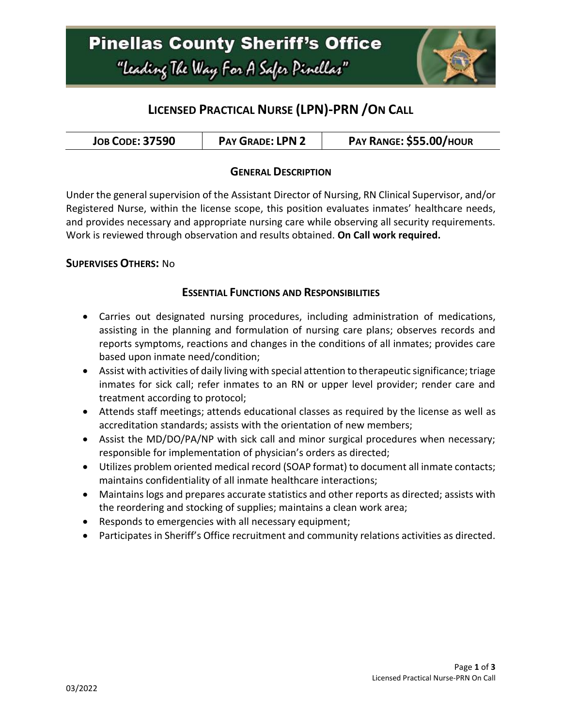

# **LICENSED PRACTICAL NURSE (LPN)-PRN /ON CALL**

| <b>PAY GRADE: LPN 2</b><br><b>JOB CODE: 37590</b> | PAY RANGE: \$55.00/HOUR |
|---------------------------------------------------|-------------------------|
|---------------------------------------------------|-------------------------|

#### **GENERAL DESCRIPTION**

Under the general supervision of the Assistant Director of Nursing, RN Clinical Supervisor, and/or Registered Nurse, within the license scope, this position evaluates inmates' healthcare needs, and provides necessary and appropriate nursing care while observing all security requirements. Work is reviewed through observation and results obtained. **On Call work required.**

#### **SUPERVISES OTHERS:** No

#### **ESSENTIAL FUNCTIONS AND RESPONSIBILITIES**

- Carries out designated nursing procedures, including administration of medications, assisting in the planning and formulation of nursing care plans; observes records and reports symptoms, reactions and changes in the conditions of all inmates; provides care based upon inmate need/condition;
- Assist with activities of daily living with special attention to therapeutic significance; triage inmates for sick call; refer inmates to an RN or upper level provider; render care and treatment according to protocol;
- Attends staff meetings; attends educational classes as required by the license as well as accreditation standards; assists with the orientation of new members;
- Assist the MD/DO/PA/NP with sick call and minor surgical procedures when necessary; responsible for implementation of physician's orders as directed;
- Utilizes problem oriented medical record (SOAP format) to document all inmate contacts; maintains confidentiality of all inmate healthcare interactions;
- Maintains logs and prepares accurate statistics and other reports as directed; assists with the reordering and stocking of supplies; maintains a clean work area;
- Responds to emergencies with all necessary equipment;
- Participates in Sheriff's Office recruitment and community relations activities as directed.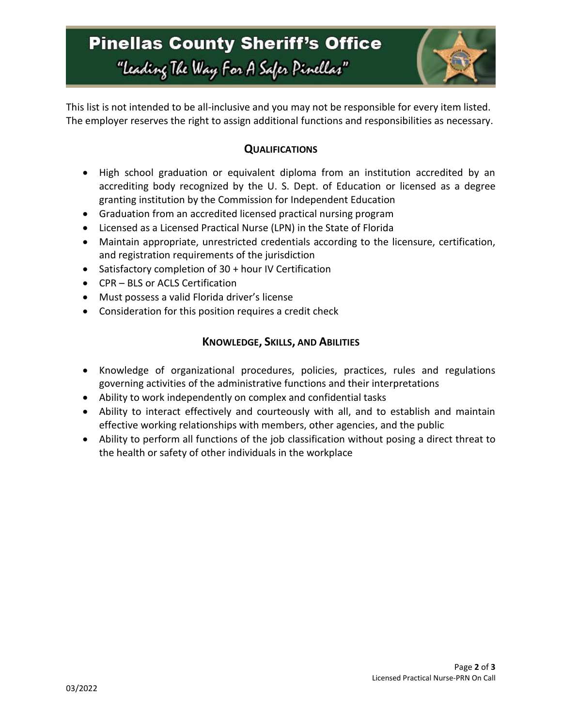

This list is not intended to be all-inclusive and you may not be responsible for every item listed. The employer reserves the right to assign additional functions and responsibilities as necessary.

## **QUALIFICATIONS**

- High school graduation or equivalent diploma from an institution accredited by an accrediting body recognized by the U. S. Dept. of Education or licensed as a degree granting institution by the Commission for Independent Education
- Graduation from an accredited licensed practical nursing program
- Licensed as a Licensed Practical Nurse (LPN) in the State of Florida
- Maintain appropriate, unrestricted credentials according to the licensure, certification, and registration requirements of the jurisdiction
- Satisfactory completion of 30 + hour IV Certification
- CPR BLS or ACLS Certification
- Must possess a valid Florida driver's license
- Consideration for this position requires a credit check

## **KNOWLEDGE, SKILLS, AND ABILITIES**

- Knowledge of organizational procedures, policies, practices, rules and regulations governing activities of the administrative functions and their interpretations
- Ability to work independently on complex and confidential tasks
- Ability to interact effectively and courteously with all, and to establish and maintain effective working relationships with members, other agencies, and the public
- Ability to perform all functions of the job classification without posing a direct threat to the health or safety of other individuals in the workplace